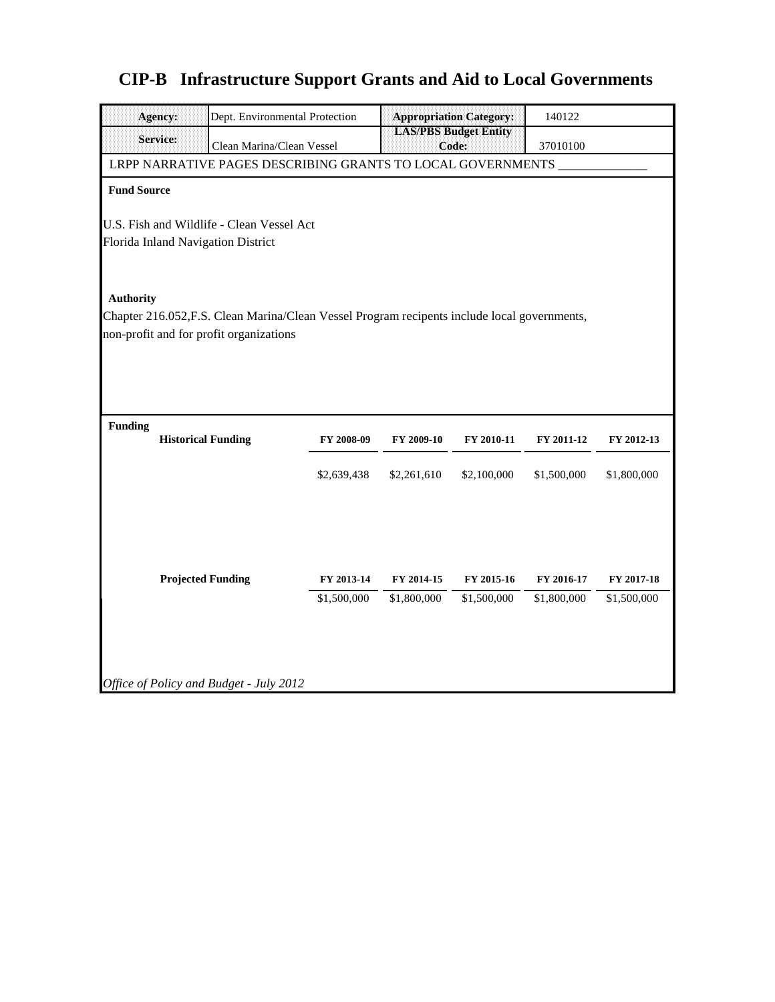|                                                                                                                  | <b>Agency:</b>                                                                         | Dept. Environmental Protection |             |             | <b>Appropriation Category:</b>        | 140122      |             |  |  |  |
|------------------------------------------------------------------------------------------------------------------|----------------------------------------------------------------------------------------|--------------------------------|-------------|-------------|---------------------------------------|-------------|-------------|--|--|--|
|                                                                                                                  | <b>Service:</b>                                                                        | Clean Marina/Clean Vessel      |             |             | <b>LAS/PBS Budget Entity</b><br>Code: | 37010100    |             |  |  |  |
| LRPP NARRATIVE PAGES DESCRIBING GRANTS TO LOCAL GOVERNMENTS                                                      |                                                                                        |                                |             |             |                                       |             |             |  |  |  |
| <b>Fund Source</b>                                                                                               |                                                                                        |                                |             |             |                                       |             |             |  |  |  |
|                                                                                                                  | U.S. Fish and Wildlife - Clean Vessel Act<br><b>Florida Inland Navigation District</b> |                                |             |             |                                       |             |             |  |  |  |
| <b>Authority</b><br>Chapter 216.052, F.S. Clean Marina/Clean Vessel Program recipents include local governments, |                                                                                        |                                |             |             |                                       |             |             |  |  |  |
|                                                                                                                  | non-profit and for profit organizations                                                |                                |             |             |                                       |             |             |  |  |  |
|                                                                                                                  |                                                                                        |                                |             |             |                                       |             |             |  |  |  |
|                                                                                                                  |                                                                                        |                                |             |             |                                       |             |             |  |  |  |
| <b>Funding</b>                                                                                                   | <b>Historical Funding</b>                                                              |                                | FY 2008-09  | FY 2009-10  | FY 2010-11                            | FY 2011-12  | FY 2012-13  |  |  |  |
|                                                                                                                  |                                                                                        |                                | \$2,639,438 | \$2,261,610 | \$2,100,000                           | \$1,500,000 | \$1,800,000 |  |  |  |
|                                                                                                                  |                                                                                        |                                |             |             |                                       |             |             |  |  |  |
|                                                                                                                  |                                                                                        |                                |             |             |                                       |             |             |  |  |  |
|                                                                                                                  | <b>Projected Funding</b>                                                               |                                | FY 2013-14  | FY 2014-15  | FY 2015-16                            | FY 2016-17  | FY 2017-18  |  |  |  |
|                                                                                                                  |                                                                                        |                                | \$1,500,000 | \$1,800,000 | \$1,500,000                           | \$1,800,000 | \$1,500,000 |  |  |  |
|                                                                                                                  |                                                                                        |                                |             |             |                                       |             |             |  |  |  |
|                                                                                                                  |                                                                                        |                                |             |             |                                       |             |             |  |  |  |
|                                                                                                                  | Office of Policy and Budget - July 2012                                                |                                |             |             |                                       |             |             |  |  |  |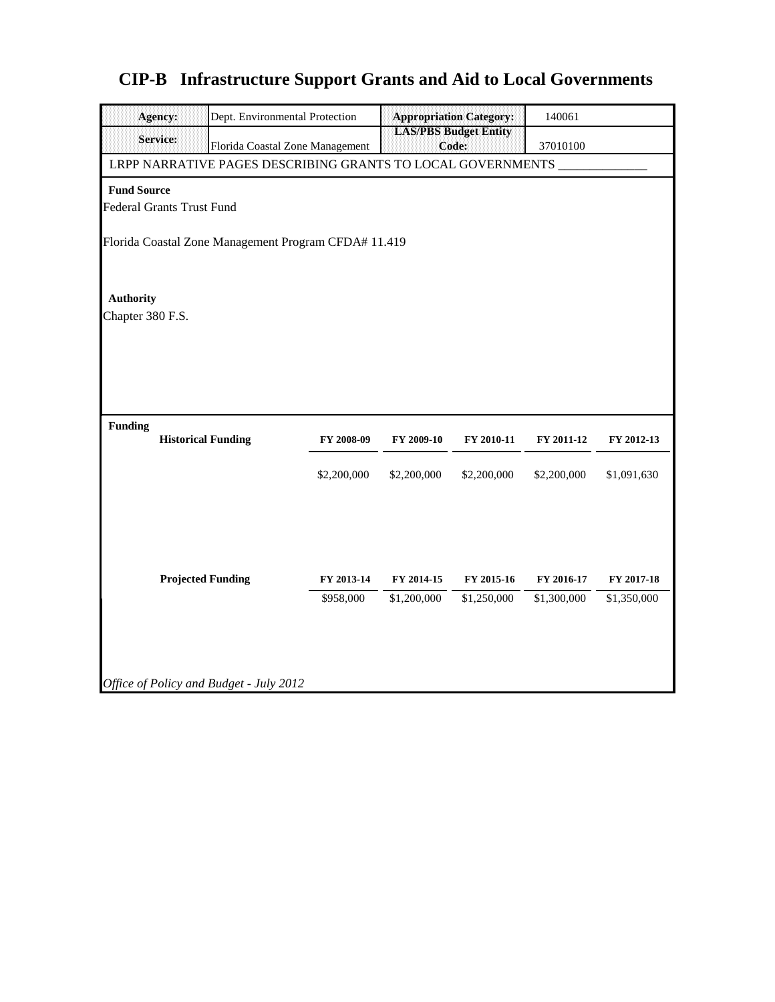|                    | <b>Agency:</b>                                       |                                                             | <b>Appropriation Category:</b><br>Dept. Environmental Protection |             |                                       |             |             |  |  |
|--------------------|------------------------------------------------------|-------------------------------------------------------------|------------------------------------------------------------------|-------------|---------------------------------------|-------------|-------------|--|--|
|                    | <b>Service:</b>                                      | Florida Coastal Zone Management                             |                                                                  |             | <b>LAS/PBS Budget Entity</b><br>Code: | 37010100    |             |  |  |
|                    |                                                      | LRPP NARRATIVE PAGES DESCRIBING GRANTS TO LOCAL GOVERNMENTS |                                                                  |             |                                       |             |             |  |  |
| <b>Fund Source</b> |                                                      |                                                             |                                                                  |             |                                       |             |             |  |  |
|                    | <b>Federal Grants Trust Fund</b>                     |                                                             |                                                                  |             |                                       |             |             |  |  |
|                    | Florida Coastal Zone Management Program CFDA# 11.419 |                                                             |                                                                  |             |                                       |             |             |  |  |
| <b>Authority</b>   |                                                      |                                                             |                                                                  |             |                                       |             |             |  |  |
| Chapter 380 F.S.   |                                                      |                                                             |                                                                  |             |                                       |             |             |  |  |
|                    |                                                      |                                                             |                                                                  |             |                                       |             |             |  |  |
|                    |                                                      |                                                             |                                                                  |             |                                       |             |             |  |  |
|                    |                                                      |                                                             |                                                                  |             |                                       |             |             |  |  |
|                    |                                                      |                                                             |                                                                  |             |                                       |             |             |  |  |
| <b>Funding</b>     | <b>Historical Funding</b>                            |                                                             | FY 2008-09                                                       | FY 2009-10  | FY 2010-11                            | FY 2011-12  | FY 2012-13  |  |  |
|                    |                                                      |                                                             |                                                                  |             |                                       |             |             |  |  |
|                    |                                                      |                                                             | \$2,200,000                                                      | \$2,200,000 | \$2,200,000                           | \$2,200,000 | \$1,091,630 |  |  |
|                    |                                                      |                                                             |                                                                  |             |                                       |             |             |  |  |
|                    |                                                      |                                                             |                                                                  |             |                                       |             |             |  |  |
|                    |                                                      |                                                             |                                                                  |             |                                       |             |             |  |  |
|                    | <b>Projected Funding</b>                             |                                                             | FY 2013-14                                                       | FY 2014-15  | FY 2015-16                            | FY 2016-17  | FY 2017-18  |  |  |
|                    |                                                      |                                                             | \$958,000                                                        | \$1,200,000 | \$1,250,000                           | \$1,300,000 | \$1,350,000 |  |  |
|                    |                                                      |                                                             |                                                                  |             |                                       |             |             |  |  |
|                    |                                                      |                                                             |                                                                  |             |                                       |             |             |  |  |
|                    |                                                      |                                                             |                                                                  |             |                                       |             |             |  |  |
|                    |                                                      | Office of Policy and Budget - July 2012                     |                                                                  |             |                                       |             |             |  |  |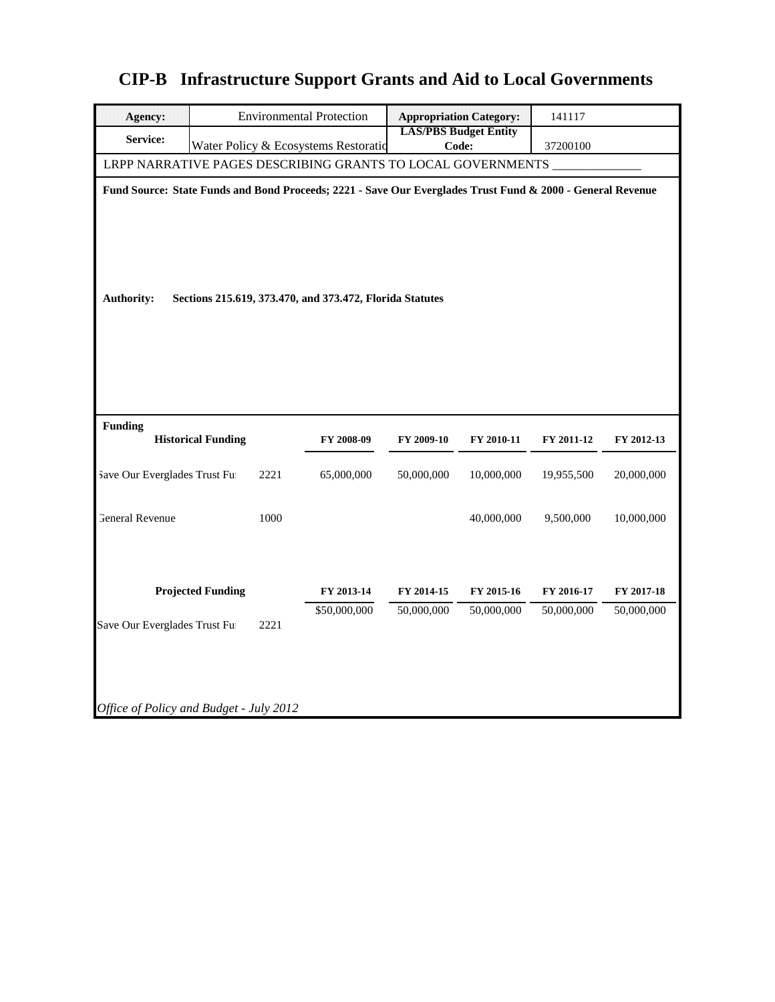| <b>Agency:</b>                          |                                                                                                            |      | <b>Environmental Protection</b>                          |                              | <b>Appropriation Category:</b> | 141117     |            |  |  |
|-----------------------------------------|------------------------------------------------------------------------------------------------------------|------|----------------------------------------------------------|------------------------------|--------------------------------|------------|------------|--|--|
| Service:                                |                                                                                                            |      |                                                          | <b>LAS/PBS Budget Entity</b> |                                |            |            |  |  |
|                                         |                                                                                                            |      | Water Policy & Ecosystems Restoratio                     | Code:                        |                                | 37200100   |            |  |  |
|                                         | LRPP NARRATIVE PAGES DESCRIBING GRANTS TO LOCAL GOVERNMENTS                                                |      |                                                          |                              |                                |            |            |  |  |
|                                         | Fund Source: State Funds and Bond Proceeds; 2221 - Save Our Everglades Trust Fund & 2000 - General Revenue |      |                                                          |                              |                                |            |            |  |  |
|                                         |                                                                                                            |      |                                                          |                              |                                |            |            |  |  |
|                                         |                                                                                                            |      |                                                          |                              |                                |            |            |  |  |
|                                         |                                                                                                            |      |                                                          |                              |                                |            |            |  |  |
|                                         |                                                                                                            |      |                                                          |                              |                                |            |            |  |  |
|                                         |                                                                                                            |      |                                                          |                              |                                |            |            |  |  |
| <b>Authority:</b>                       |                                                                                                            |      | Sections 215.619, 373.470, and 373.472, Florida Statutes |                              |                                |            |            |  |  |
|                                         |                                                                                                            |      |                                                          |                              |                                |            |            |  |  |
|                                         |                                                                                                            |      |                                                          |                              |                                |            |            |  |  |
|                                         |                                                                                                            |      |                                                          |                              |                                |            |            |  |  |
|                                         |                                                                                                            |      |                                                          |                              |                                |            |            |  |  |
|                                         |                                                                                                            |      |                                                          |                              |                                |            |            |  |  |
|                                         |                                                                                                            |      |                                                          |                              |                                |            |            |  |  |
| <b>Funding</b>                          | <b>Historical Funding</b>                                                                                  |      | FY 2008-09                                               | FY 2009-10                   | FY 2010-11                     | FY 2011-12 | FY 2012-13 |  |  |
|                                         |                                                                                                            |      |                                                          |                              |                                |            |            |  |  |
| Save Our Everglades Trust Fu            |                                                                                                            | 2221 | 65,000,000                                               | 50,000,000                   | 10,000,000                     | 19,955,500 | 20,000,000 |  |  |
|                                         |                                                                                                            |      |                                                          |                              |                                |            |            |  |  |
| <b>General Revenue</b>                  |                                                                                                            | 1000 |                                                          |                              | 40,000,000                     |            | 10,000,000 |  |  |
|                                         |                                                                                                            |      |                                                          |                              |                                | 9,500,000  |            |  |  |
|                                         |                                                                                                            |      |                                                          |                              |                                |            |            |  |  |
|                                         |                                                                                                            |      |                                                          |                              |                                |            |            |  |  |
|                                         | <b>Projected Funding</b>                                                                                   |      | FY 2013-14                                               | FY 2014-15                   | FY 2015-16                     | FY 2016-17 | FY 2017-18 |  |  |
|                                         |                                                                                                            |      | \$50,000,000                                             | 50,000,000                   | 50,000,000                     | 50,000,000 | 50,000,000 |  |  |
| Save Our Everglades Trust Fu            |                                                                                                            | 2221 |                                                          |                              |                                |            |            |  |  |
|                                         |                                                                                                            |      |                                                          |                              |                                |            |            |  |  |
|                                         |                                                                                                            |      |                                                          |                              |                                |            |            |  |  |
|                                         |                                                                                                            |      |                                                          |                              |                                |            |            |  |  |
|                                         |                                                                                                            |      |                                                          |                              |                                |            |            |  |  |
| Office of Policy and Budget - July 2012 |                                                                                                            |      |                                                          |                              |                                |            |            |  |  |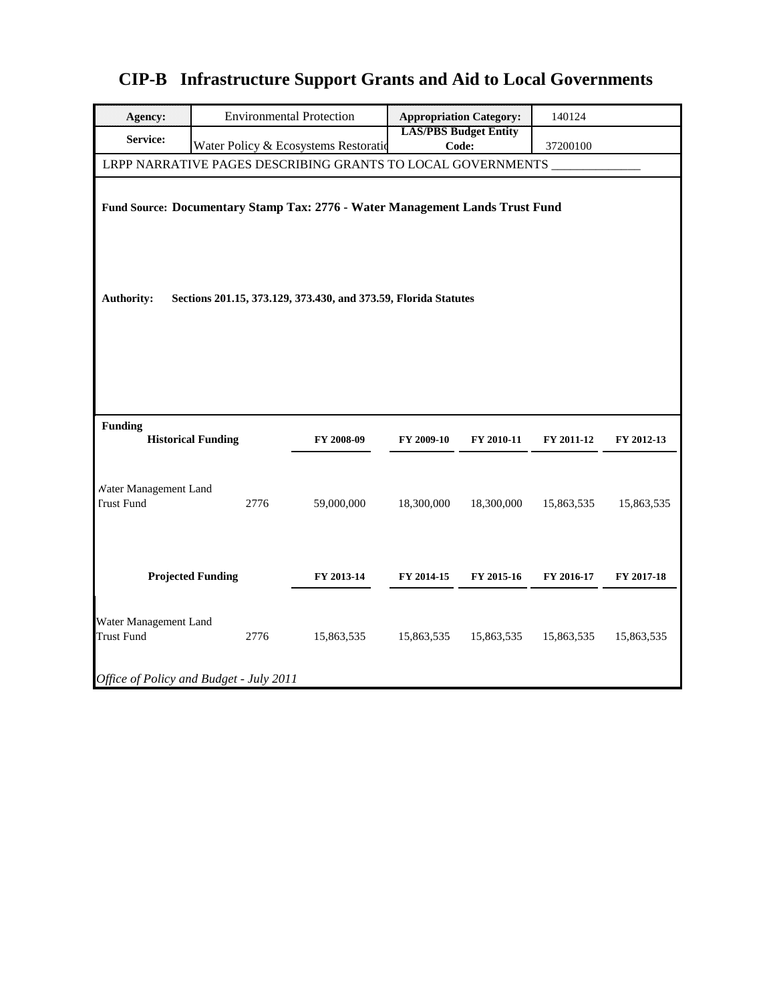| <b>Agency:</b>                                                                                                                                                       | <b>Environmental Protection</b>                             |            | <b>Appropriation Category:</b>        |            | 140124     |            |  |
|----------------------------------------------------------------------------------------------------------------------------------------------------------------------|-------------------------------------------------------------|------------|---------------------------------------|------------|------------|------------|--|
| Service:                                                                                                                                                             | Water Policy & Ecosystems Restoratio                        |            | <b>LAS/PBS Budget Entity</b><br>Code: |            | 37200100   |            |  |
|                                                                                                                                                                      | LRPP NARRATIVE PAGES DESCRIBING GRANTS TO LOCAL GOVERNMENTS |            |                                       |            |            |            |  |
| Fund Source: Documentary Stamp Tax: 2776 - Water Management Lands Trust Fund<br><b>Authority:</b><br>Sections 201.15, 373.129, 373.430, and 373.59, Florida Statutes |                                                             |            |                                       |            |            |            |  |
| <b>Funding</b>                                                                                                                                                       | <b>Historical Funding</b>                                   | FY 2008-09 | FY 2009-10                            | FY 2010-11 | FY 2011-12 | FY 2012-13 |  |
| Water Management Land<br><b>Trust Fund</b>                                                                                                                           | 2776                                                        | 59,000,000 | 18,300,000                            | 18,300,000 | 15,863,535 | 15,863,535 |  |
|                                                                                                                                                                      | <b>Projected Funding</b>                                    | FY 2013-14 | FY 2014-15                            | FY 2015-16 | FY 2016-17 | FY 2017-18 |  |
| Water Management Land<br>Trust Fund                                                                                                                                  | 2776                                                        | 15,863,535 | 15,863,535                            | 15,863,535 | 15,863,535 | 15,863,535 |  |
|                                                                                                                                                                      | Office of Policy and Budget - July 2011                     |            |                                       |            |            |            |  |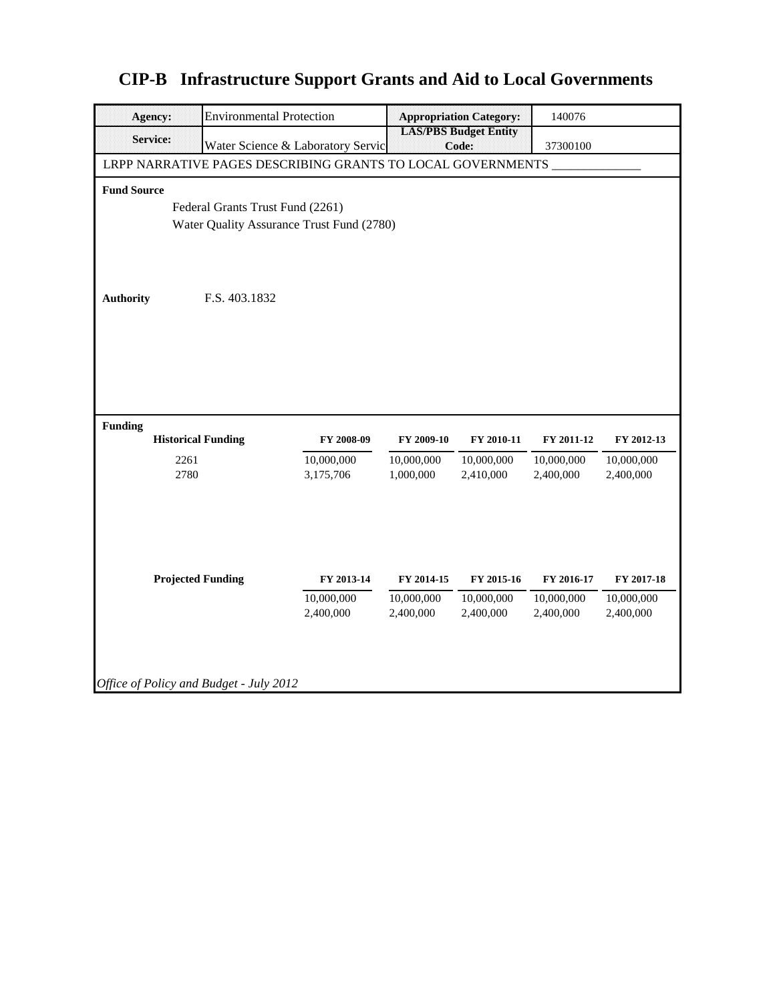| <b>Agency:</b>                          | <b>Environmental Protection</b>                             |                                   |                                                   | <b>Appropriation Category:</b> | 140076                   |                          |  |  |  |
|-----------------------------------------|-------------------------------------------------------------|-----------------------------------|---------------------------------------------------|--------------------------------|--------------------------|--------------------------|--|--|--|
| <b>Service:</b>                         |                                                             | Water Science & Laboratory Servic | <b>LAS/PBS Budget Entity</b><br>Code:<br>37300100 |                                |                          |                          |  |  |  |
|                                         | LRPP NARRATIVE PAGES DESCRIBING GRANTS TO LOCAL GOVERNMENTS |                                   |                                                   |                                |                          |                          |  |  |  |
| <b>Fund Source</b>                      |                                                             |                                   |                                                   |                                |                          |                          |  |  |  |
| Federal Grants Trust Fund (2261)        |                                                             |                                   |                                                   |                                |                          |                          |  |  |  |
|                                         | Water Quality Assurance Trust Fund (2780)                   |                                   |                                                   |                                |                          |                          |  |  |  |
|                                         |                                                             |                                   |                                                   |                                |                          |                          |  |  |  |
|                                         |                                                             |                                   |                                                   |                                |                          |                          |  |  |  |
| <b>Authority</b>                        | F.S. 403.1832                                               |                                   |                                                   |                                |                          |                          |  |  |  |
|                                         |                                                             |                                   |                                                   |                                |                          |                          |  |  |  |
|                                         |                                                             |                                   |                                                   |                                |                          |                          |  |  |  |
|                                         |                                                             |                                   |                                                   |                                |                          |                          |  |  |  |
|                                         |                                                             |                                   |                                                   |                                |                          |                          |  |  |  |
|                                         |                                                             |                                   |                                                   |                                |                          |                          |  |  |  |
| <b>Funding</b>                          |                                                             |                                   |                                                   |                                |                          |                          |  |  |  |
| <b>Historical Funding</b>               |                                                             | FY 2008-09                        | FY 2009-10                                        | FY 2010-11                     | FY 2011-12               | FY 2012-13               |  |  |  |
| 2261                                    |                                                             | 10,000,000                        | 10,000,000                                        | 10,000,000                     | 10,000,000               | 10,000,000               |  |  |  |
| 2780                                    |                                                             | 3,175,706                         | 1,000,000                                         | 2,410,000                      | 2,400,000                | 2,400,000                |  |  |  |
|                                         |                                                             |                                   |                                                   |                                |                          |                          |  |  |  |
|                                         |                                                             |                                   |                                                   |                                |                          |                          |  |  |  |
|                                         |                                                             |                                   |                                                   |                                |                          |                          |  |  |  |
|                                         |                                                             |                                   |                                                   |                                |                          |                          |  |  |  |
| <b>Projected Funding</b>                |                                                             | FY 2013-14<br>10,000,000          | FY 2014-15<br>10,000,000                          | FY 2015-16<br>10,000,000       | FY 2016-17<br>10,000,000 | FY 2017-18<br>10,000,000 |  |  |  |
|                                         |                                                             | 2,400,000                         | 2,400,000                                         | 2,400,000                      | 2,400,000                | 2,400,000                |  |  |  |
|                                         |                                                             |                                   |                                                   |                                |                          |                          |  |  |  |
|                                         |                                                             |                                   |                                                   |                                |                          |                          |  |  |  |
|                                         |                                                             |                                   |                                                   |                                |                          |                          |  |  |  |
| Office of Policy and Budget - July 2012 |                                                             |                                   |                                                   |                                |                          |                          |  |  |  |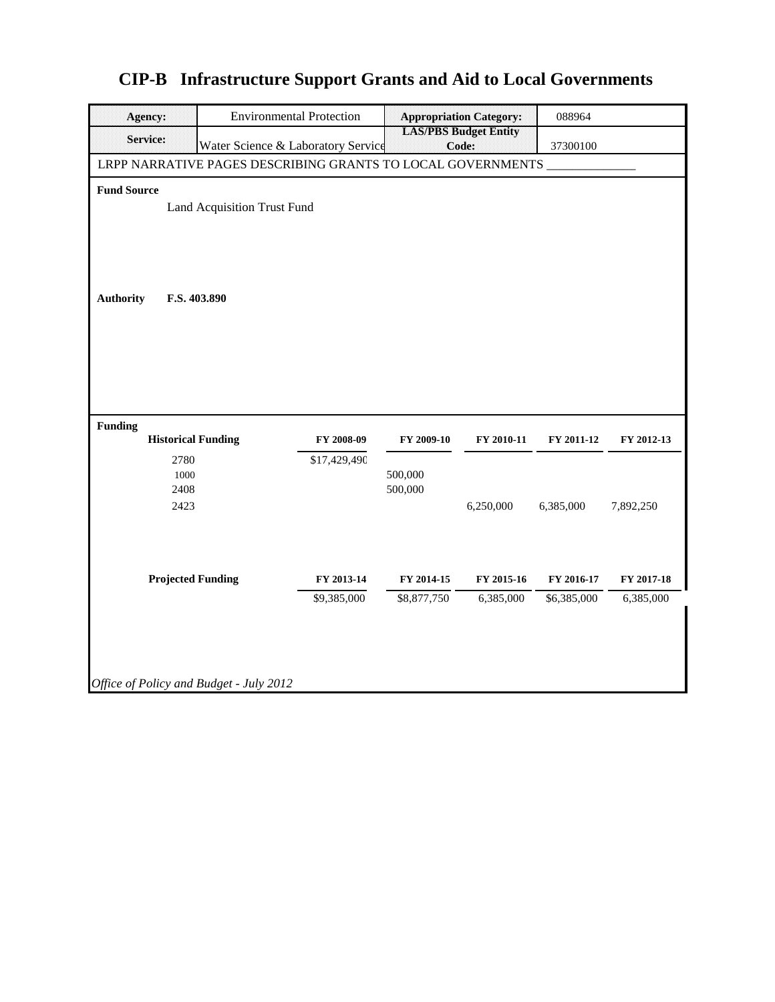| Agency:                                                                                                           | <b>Environmental Protection</b>             |                           |                           | <b>Appropriation Category:</b>        | 088964                    |                         |  |  |
|-------------------------------------------------------------------------------------------------------------------|---------------------------------------------|---------------------------|---------------------------|---------------------------------------|---------------------------|-------------------------|--|--|
| Service:                                                                                                          | Water Science & Laboratory Service          |                           |                           | <b>LAS/PBS Budget Entity</b><br>Code: | 37300100                  |                         |  |  |
| LRPP NARRATIVE PAGES DESCRIBING GRANTS TO LOCAL GOVERNMENTS                                                       |                                             |                           |                           |                                       |                           |                         |  |  |
| <b>Fund Source</b><br><b>Authority</b>                                                                            | Land Acquisition Trust Fund<br>F.S. 403.890 |                           |                           |                                       |                           |                         |  |  |
| <b>Funding</b><br><b>Historical Funding</b><br>FY 2008-09<br>FY 2009-10<br>FY 2010-11<br>FY 2011-12<br>FY 2012-13 |                                             |                           |                           |                                       |                           |                         |  |  |
| 2780<br>1000<br>2408<br>2423                                                                                      |                                             | \$17,429,490              | 500,000<br>500,000        | 6,250,000                             | 6,385,000                 | 7,892,250               |  |  |
| <b>Projected Funding</b>                                                                                          |                                             | FY 2013-14<br>\$9,385,000 | FY 2014-15<br>\$8,877,750 | FY 2015-16<br>6,385,000               | FY 2016-17<br>\$6,385,000 | FY 2017-18<br>6,385,000 |  |  |
| Office of Policy and Budget - July 2012                                                                           |                                             |                           |                           |                                       |                           |                         |  |  |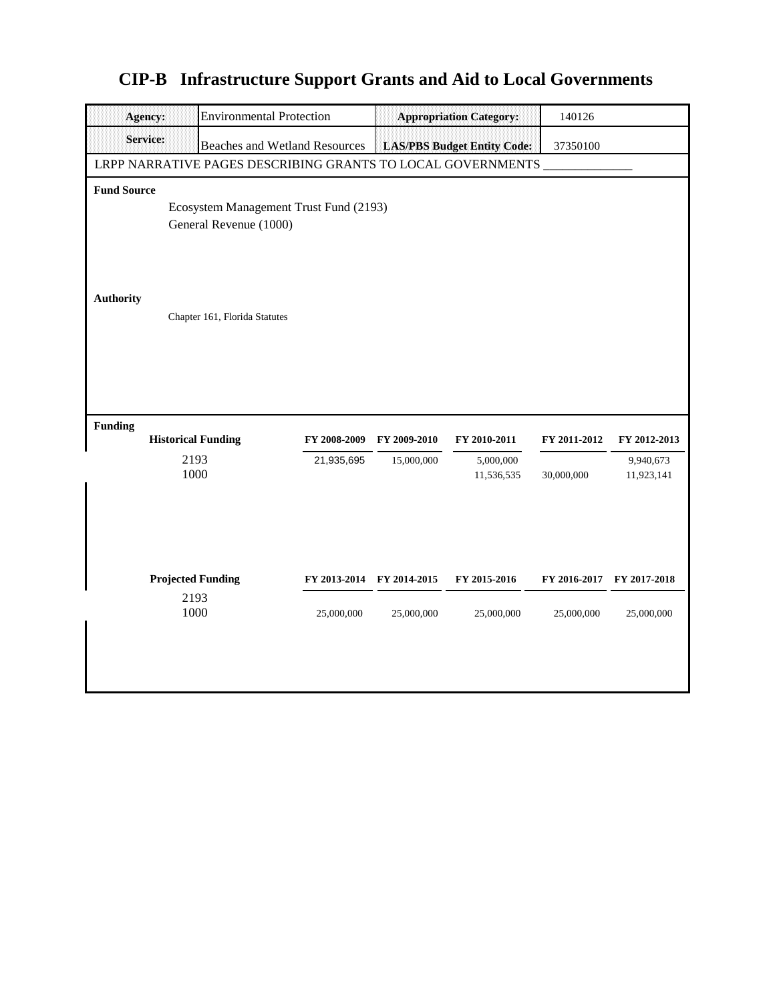| <b>Agency:</b>     | <b>Environmental Protection</b>                                  |              |                           | <b>Appropriation Category:</b>     | 140126       |                         |  |
|--------------------|------------------------------------------------------------------|--------------|---------------------------|------------------------------------|--------------|-------------------------|--|
| <b>Service:</b>    | <b>Beaches and Wetland Resources</b>                             |              |                           | <b>LAS/PBS Budget Entity Code:</b> | 37350100     |                         |  |
|                    | LRPP NARRATIVE PAGES DESCRIBING GRANTS TO LOCAL GOVERNMENTS      |              |                           |                                    |              |                         |  |
| <b>Fund Source</b> |                                                                  |              |                           |                                    |              |                         |  |
|                    | Ecosystem Management Trust Fund (2193)<br>General Revenue (1000) |              |                           |                                    |              |                         |  |
| <b>Authority</b>   | Chapter 161, Florida Statutes                                    |              |                           |                                    |              |                         |  |
|                    |                                                                  |              |                           |                                    |              |                         |  |
| <b>Funding</b>     | <b>Historical Funding</b>                                        | FY 2008-2009 | FY 2009-2010              | FY 2010-2011                       | FY 2011-2012 | FY 2012-2013            |  |
|                    | 2193<br>1000                                                     | 21,935,695   | 15,000,000                | 5,000,000<br>11,536,535            | 30,000,000   | 9,940,673<br>11,923,141 |  |
|                    | <b>Projected Funding</b>                                         |              | FY 2013-2014 FY 2014-2015 | FY 2015-2016                       | FY 2016-2017 | FY 2017-2018            |  |
|                    | 2193<br>1000                                                     | 25,000,000   | 25,000,000                | 25,000,000                         | 25,000,000   | 25,000,000              |  |
|                    |                                                                  |              |                           |                                    |              |                         |  |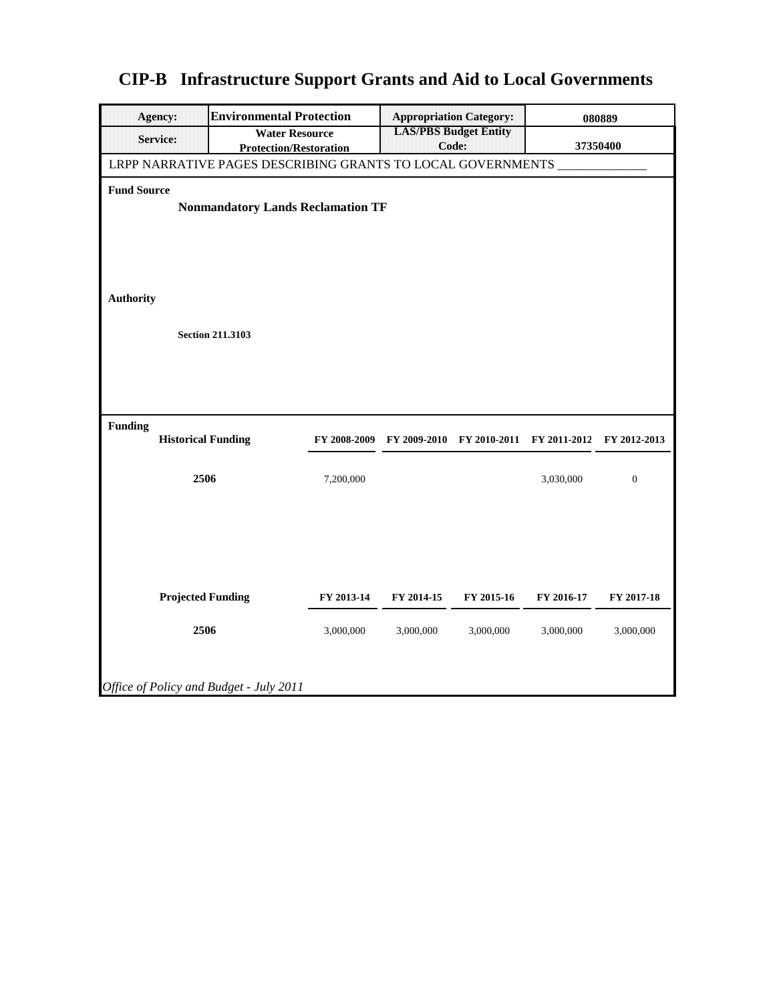| Agency:                                | <b>Environmental Protection</b><br><b>Appropriation Category:</b>   |                                                             |                         |                         |                                                   |                         | 080889                  |  |
|----------------------------------------|---------------------------------------------------------------------|-------------------------------------------------------------|-------------------------|-------------------------|---------------------------------------------------|-------------------------|-------------------------|--|
| <b>Service:</b>                        |                                                                     | <b>Water Resource</b><br><b>Protection/Restoration</b>      |                         |                         | <b>LAS/PBS Budget Entity</b><br>Code:<br>37350400 |                         |                         |  |
|                                        |                                                                     | LRPP NARRATIVE PAGES DESCRIBING GRANTS TO LOCAL GOVERNMENTS |                         |                         |                                                   |                         |                         |  |
| <b>Fund Source</b><br><b>Authority</b> | <b>Nonmandatory Lands Reclamation TF</b><br><b>Section 211.3103</b> |                                                             |                         |                         |                                                   |                         |                         |  |
| <b>Funding</b>                         |                                                                     | <b>Historical Funding</b>                                   | FY 2008-2009            |                         | FY 2009-2010 FY 2010-2011 FY 2011-2012            |                         | FY 2012-2013            |  |
|                                        | 2506                                                                |                                                             | 7,200,000               |                         |                                                   | 3,030,000               | $\boldsymbol{0}$        |  |
|                                        | 2506                                                                | <b>Projected Funding</b>                                    | FY 2013-14<br>3,000,000 | FY 2014-15<br>3,000,000 | FY 2015-16<br>3,000,000                           | FY 2016-17<br>3,000,000 | FY 2017-18<br>3,000,000 |  |
|                                        |                                                                     | Office of Policy and Budget - July 2011                     |                         |                         |                                                   |                         |                         |  |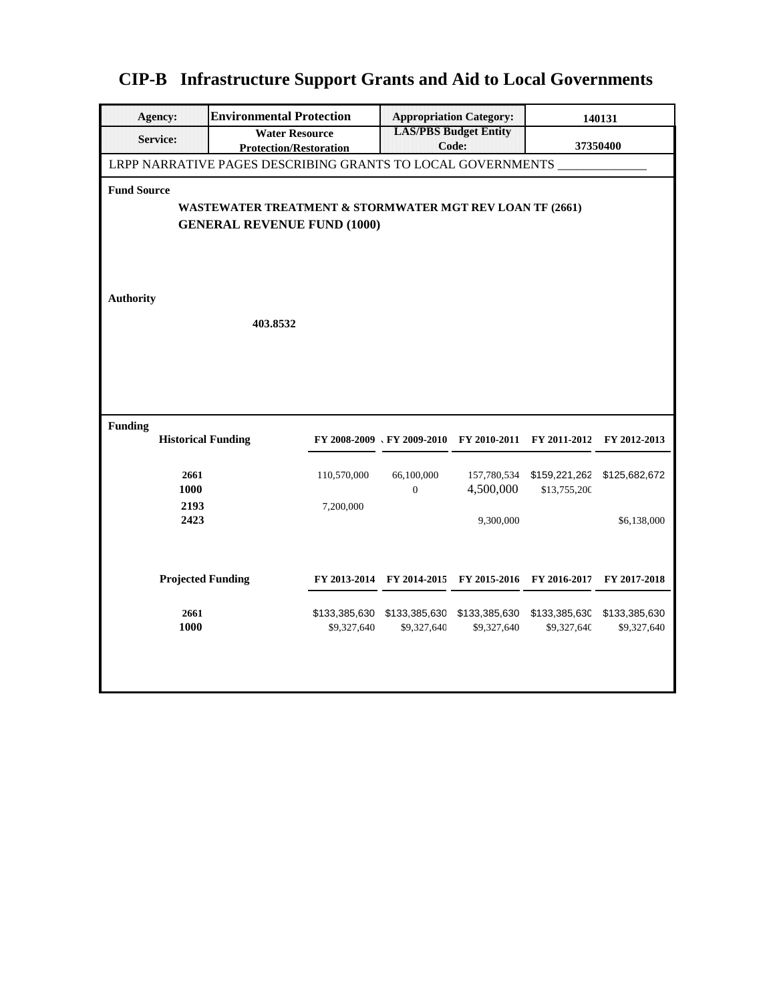|  |  | <b>CIP-B</b> Infrastructure Support Grants and Aid to Local Governments |  |  |  |  |  |
|--|--|-------------------------------------------------------------------------|--|--|--|--|--|
|--|--|-------------------------------------------------------------------------|--|--|--|--|--|

| Agency:                   | <b>Environmental Protection</b>                                                                | <b>Appropriation Category:</b> |                                        | 140131                                            |               |               |  |  |  |  |
|---------------------------|------------------------------------------------------------------------------------------------|--------------------------------|----------------------------------------|---------------------------------------------------|---------------|---------------|--|--|--|--|
| Service:                  | <b>Water Resource</b><br><b>Protection/Restoration</b>                                         |                                |                                        | <b>LAS/PBS Budget Entity</b><br>Code:<br>37350400 |               |               |  |  |  |  |
|                           | LRPP NARRATIVE PAGES DESCRIBING GRANTS TO LOCAL GOVERNMENTS                                    |                                |                                        |                                                   |               |               |  |  |  |  |
| <b>Fund Source</b>        |                                                                                                |                                |                                        |                                                   |               |               |  |  |  |  |
|                           | WASTEWATER TREATMENT & STORMWATER MGT REV LOAN TF (2661)<br><b>GENERAL REVENUE FUND (1000)</b> |                                |                                        |                                                   |               |               |  |  |  |  |
|                           |                                                                                                |                                |                                        |                                                   |               |               |  |  |  |  |
|                           |                                                                                                |                                |                                        |                                                   |               |               |  |  |  |  |
|                           |                                                                                                |                                |                                        |                                                   |               |               |  |  |  |  |
| <b>Authority</b>          |                                                                                                |                                |                                        |                                                   |               |               |  |  |  |  |
|                           | 403.8532                                                                                       |                                |                                        |                                                   |               |               |  |  |  |  |
|                           |                                                                                                |                                |                                        |                                                   |               |               |  |  |  |  |
|                           |                                                                                                |                                |                                        |                                                   |               |               |  |  |  |  |
|                           |                                                                                                |                                |                                        |                                                   |               |               |  |  |  |  |
| <b>Funding</b>            |                                                                                                |                                |                                        |                                                   |               |               |  |  |  |  |
| <b>Historical Funding</b> |                                                                                                |                                | FY 2008-2009 \ FY 2009-2010            | FY 2010-2011                                      | FY 2011-2012  | FY 2012-2013  |  |  |  |  |
| 2661                      |                                                                                                | 110,570,000                    | 66,100,000                             | 157,780,534                                       | \$159,221,262 | \$125,682,672 |  |  |  |  |
| 1000<br>2193              |                                                                                                | 7,200,000                      | $\overline{0}$                         | 4,500,000                                         | \$13,755,200  |               |  |  |  |  |
| 2423                      |                                                                                                |                                |                                        | 9,300,000                                         |               | \$6,138,000   |  |  |  |  |
|                           |                                                                                                |                                |                                        |                                                   |               |               |  |  |  |  |
|                           |                                                                                                |                                |                                        |                                                   |               |               |  |  |  |  |
| <b>Projected Funding</b>  |                                                                                                |                                | FY 2013-2014 FY 2014-2015 FY 2015-2016 |                                                   | FY 2016-2017  | FY 2017-2018  |  |  |  |  |
| 2661                      |                                                                                                |                                | \$133,385,630 \$133,385,630            | \$133,385,630                                     | \$133,385,630 | \$133,385,630 |  |  |  |  |
| 1000                      |                                                                                                | \$9,327,640                    | \$9,327,640                            | \$9,327,640                                       | \$9,327,640   | \$9,327,640   |  |  |  |  |
|                           |                                                                                                |                                |                                        |                                                   |               |               |  |  |  |  |
|                           |                                                                                                |                                |                                        |                                                   |               |               |  |  |  |  |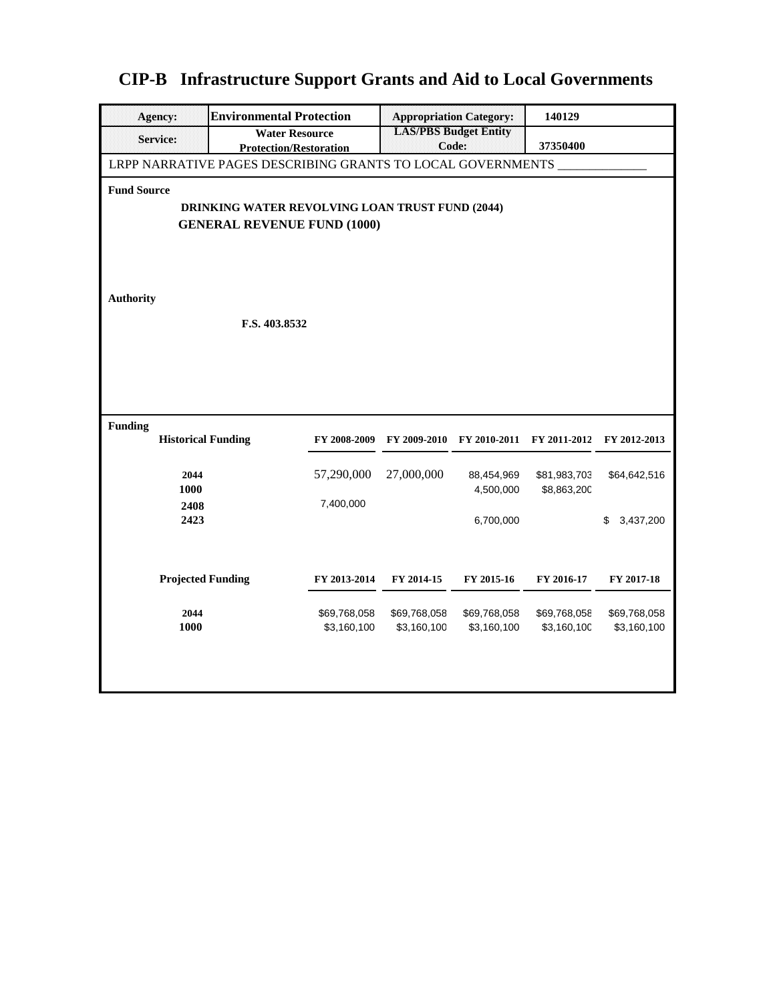| <b>Agency:</b>                                                                        | <b>Environmental Protection</b>                             | <b>Appropriation Category:</b> | 140129                                |              |              |                 |  |  |
|---------------------------------------------------------------------------------------|-------------------------------------------------------------|--------------------------------|---------------------------------------|--------------|--------------|-----------------|--|--|
| <b>Service:</b>                                                                       | <b>Water Resource</b><br><b>Protection/Restoration</b>      |                                | <b>19AS/PBS Budget Bully</b><br>Code: |              | 37350400     |                 |  |  |
|                                                                                       | LRPP NARRATIVE PAGES DESCRIBING GRANTS TO LOCAL GOVERNMENTS |                                |                                       |              |              |                 |  |  |
| <b>Fund Source</b>                                                                    |                                                             |                                |                                       |              |              |                 |  |  |
| DRINKING WATER REVOLVING LOAN TRUST FUND (2044)<br><b>GENERAL REVENUE FUND (1000)</b> |                                                             |                                |                                       |              |              |                 |  |  |
|                                                                                       |                                                             |                                |                                       |              |              |                 |  |  |
|                                                                                       |                                                             |                                |                                       |              |              |                 |  |  |
| <b>Authority</b>                                                                      |                                                             |                                |                                       |              |              |                 |  |  |
|                                                                                       |                                                             |                                |                                       |              |              |                 |  |  |
|                                                                                       | F.S. 403.8532                                               |                                |                                       |              |              |                 |  |  |
|                                                                                       |                                                             |                                |                                       |              |              |                 |  |  |
|                                                                                       |                                                             |                                |                                       |              |              |                 |  |  |
|                                                                                       |                                                             |                                |                                       |              |              |                 |  |  |
| <b>Funding</b><br><b>Historical Funding</b>                                           |                                                             | FY 2008-2009                   | FY 2009-2010                          | FY 2010-2011 | FY 2011-2012 | FY 2012-2013    |  |  |
|                                                                                       |                                                             |                                |                                       |              |              |                 |  |  |
| 2044                                                                                  |                                                             | 57,290,000                     | 27,000,000                            | 88,454,969   | \$81,983,703 | \$64,642,516    |  |  |
| 1000<br>2408                                                                          |                                                             | 7,400,000                      |                                       | 4,500,000    | \$8,863,200  |                 |  |  |
| 2423                                                                                  |                                                             |                                |                                       | 6,700,000    |              | 3,437,200<br>\$ |  |  |
|                                                                                       |                                                             |                                |                                       |              |              |                 |  |  |
| <b>Projected Funding</b>                                                              |                                                             | FY 2013-2014                   | FY 2014-15                            | FY 2015-16   | FY 2016-17   | FY 2017-18      |  |  |
|                                                                                       |                                                             |                                |                                       |              |              |                 |  |  |
| 2044                                                                                  |                                                             | \$69,768,058                   | \$69,768,058                          | \$69,768,058 | \$69,768,058 | \$69,768,058    |  |  |
| 1000                                                                                  |                                                             | \$3,160,100                    | \$3,160,100                           | \$3,160,100  | \$3,160,100  | \$3,160,100     |  |  |
|                                                                                       |                                                             |                                |                                       |              |              |                 |  |  |
|                                                                                       |                                                             |                                |                                       |              |              |                 |  |  |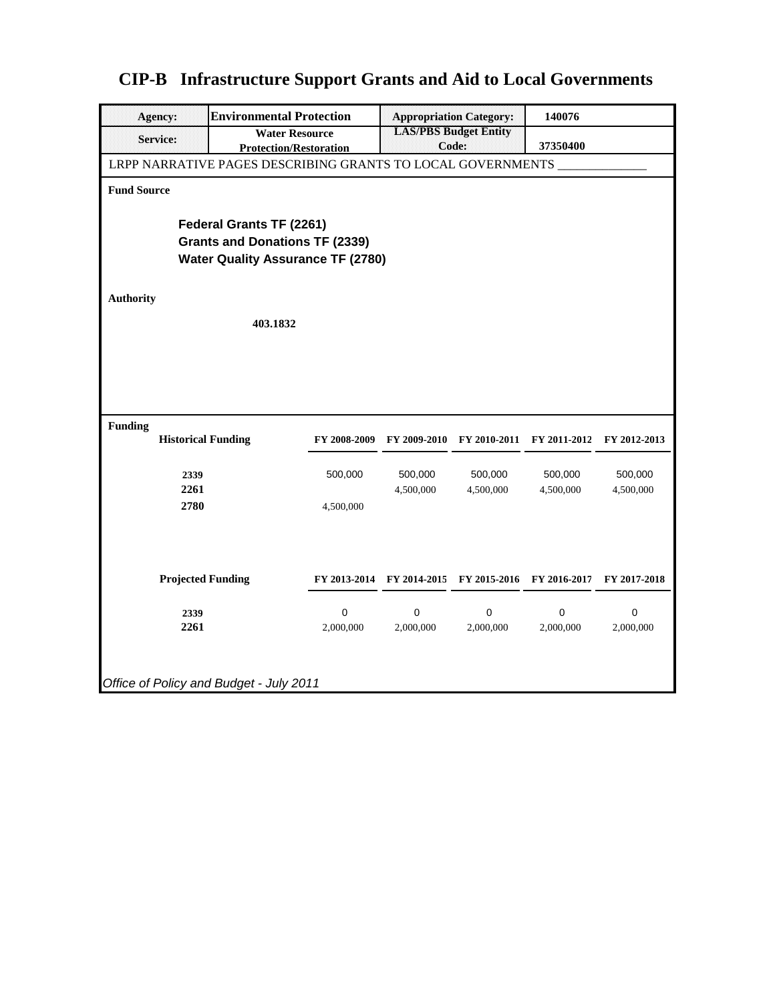| <b>Agency:</b>                                              | <b>Environmental Protection</b>                        |              |                                       | <b>Appropriation Category:</b> | 140076                    |              |  |  |  |
|-------------------------------------------------------------|--------------------------------------------------------|--------------|---------------------------------------|--------------------------------|---------------------------|--------------|--|--|--|
| <b>Service:</b>                                             | <b>Water Resource</b><br><b>Protection/Restoration</b> |              | <b>19AS/PBS Budget Butty</b><br>Code: |                                | 37350400                  |              |  |  |  |
| LRPP NARRATIVE PAGES DESCRIBING GRANTS TO LOCAL GOVERNMENTS |                                                        |              |                                       |                                |                           |              |  |  |  |
| <b>Fund Source</b>                                          |                                                        |              |                                       |                                |                           |              |  |  |  |
|                                                             | Federal Grants TF (2261)                               |              |                                       |                                |                           |              |  |  |  |
|                                                             | <b>Grants and Donations TF (2339)</b>                  |              |                                       |                                |                           |              |  |  |  |
|                                                             | <b>Water Quality Assurance TF (2780)</b>               |              |                                       |                                |                           |              |  |  |  |
|                                                             |                                                        |              |                                       |                                |                           |              |  |  |  |
| <b>Authority</b>                                            |                                                        |              |                                       |                                |                           |              |  |  |  |
|                                                             | 403.1832                                               |              |                                       |                                |                           |              |  |  |  |
|                                                             |                                                        |              |                                       |                                |                           |              |  |  |  |
|                                                             |                                                        |              |                                       |                                |                           |              |  |  |  |
|                                                             |                                                        |              |                                       |                                |                           |              |  |  |  |
|                                                             |                                                        |              |                                       |                                |                           |              |  |  |  |
|                                                             |                                                        |              |                                       |                                |                           |              |  |  |  |
| <b>Funding</b><br><b>Historical Funding</b>                 |                                                        | FY 2008-2009 | FY 2009-2010                          |                                | FY 2010-2011 FY 2011-2012 | FY 2012-2013 |  |  |  |
|                                                             |                                                        |              |                                       |                                |                           |              |  |  |  |
| 2339                                                        |                                                        | 500,000      | 500,000                               | 500,000                        | 500,000                   | 500,000      |  |  |  |
| 2261                                                        |                                                        |              | 4,500,000                             | 4,500,000                      | 4,500,000                 | 4,500,000    |  |  |  |
| 2780                                                        |                                                        | 4,500,000    |                                       |                                |                           |              |  |  |  |
|                                                             |                                                        |              |                                       |                                |                           |              |  |  |  |
|                                                             |                                                        |              |                                       |                                |                           |              |  |  |  |
| <b>Projected Funding</b>                                    |                                                        |              |                                       |                                |                           |              |  |  |  |
|                                                             |                                                        |              | FY 2013-2014 FY 2014-2015             | FY 2015-2016                   | FY 2016-2017              | FY 2017-2018 |  |  |  |
| 2339                                                        |                                                        | 0            | 0                                     | 0                              | 0                         | 0            |  |  |  |
| 2261                                                        |                                                        | 2,000,000    | 2,000,000                             | 2,000,000                      | 2,000,000                 | 2,000,000    |  |  |  |
|                                                             |                                                        |              |                                       |                                |                           |              |  |  |  |
|                                                             |                                                        |              |                                       |                                |                           |              |  |  |  |
| Office of Policy and Budget - July 2011                     |                                                        |              |                                       |                                |                           |              |  |  |  |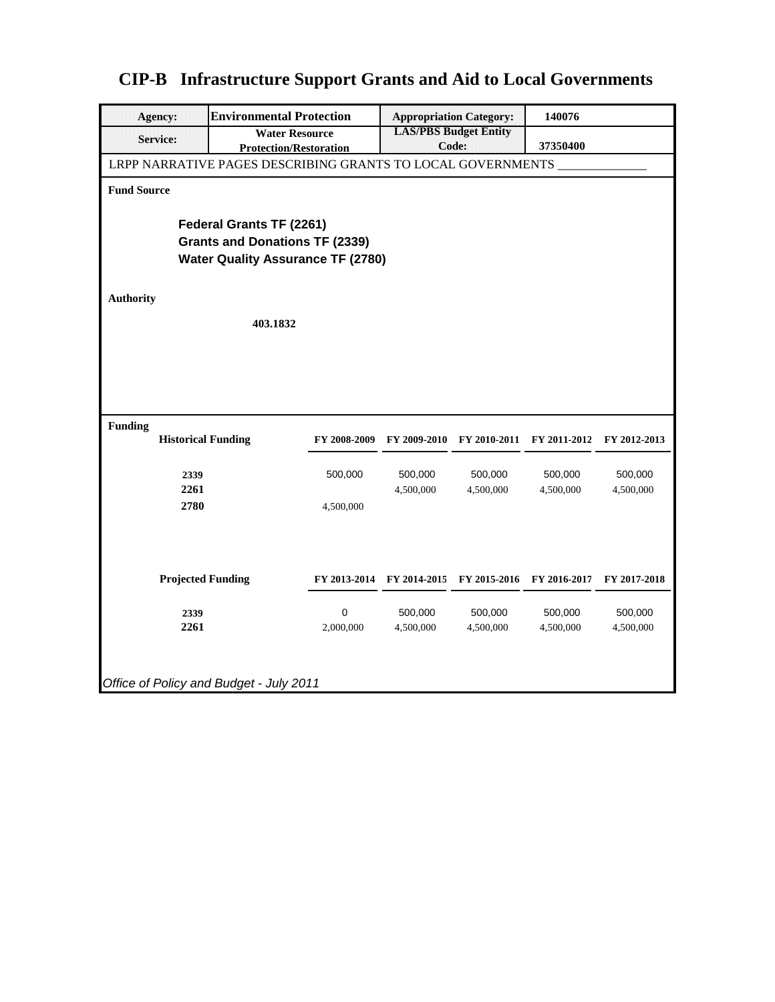| <b>Agency:</b>                                              | <b>Environmental Protection</b>                        |              |                                       | <b>Appropriation Category:</b> | 140076       |              |  |  |
|-------------------------------------------------------------|--------------------------------------------------------|--------------|---------------------------------------|--------------------------------|--------------|--------------|--|--|
| <b>Service:</b>                                             | <b>Water Resource</b><br><b>Protection/Restoration</b> |              | <b>19AS/PBS Budget Bully</b><br>Code: |                                | 37350400     |              |  |  |
| LRPP NARRATIVE PAGES DESCRIBING GRANTS TO LOCAL GOVERNMENTS |                                                        |              |                                       |                                |              |              |  |  |
| <b>Fund Source</b>                                          |                                                        |              |                                       |                                |              |              |  |  |
|                                                             | Federal Grants TF (2261)                               |              |                                       |                                |              |              |  |  |
|                                                             | <b>Grants and Donations TF (2339)</b>                  |              |                                       |                                |              |              |  |  |
|                                                             | <b>Water Quality Assurance TF (2780)</b>               |              |                                       |                                |              |              |  |  |
|                                                             |                                                        |              |                                       |                                |              |              |  |  |
| <b>Authority</b>                                            |                                                        |              |                                       |                                |              |              |  |  |
|                                                             | 403.1832                                               |              |                                       |                                |              |              |  |  |
|                                                             |                                                        |              |                                       |                                |              |              |  |  |
|                                                             |                                                        |              |                                       |                                |              |              |  |  |
|                                                             |                                                        |              |                                       |                                |              |              |  |  |
|                                                             |                                                        |              |                                       |                                |              |              |  |  |
| <b>Funding</b>                                              |                                                        |              |                                       |                                |              |              |  |  |
| <b>Historical Funding</b>                                   |                                                        | FY 2008-2009 | FY 2009-2010                          | FY 2010-2011                   | FY 2011-2012 | FY 2012-2013 |  |  |
|                                                             |                                                        |              |                                       |                                |              |              |  |  |
| 2339                                                        |                                                        | 500,000      | 500,000                               | 500,000                        | 500,000      | 500,000      |  |  |
| 2261<br>2780                                                |                                                        | 4,500,000    | 4,500,000                             | 4,500,000                      | 4,500,000    | 4,500,000    |  |  |
|                                                             |                                                        |              |                                       |                                |              |              |  |  |
|                                                             |                                                        |              |                                       |                                |              |              |  |  |
|                                                             |                                                        |              |                                       |                                |              |              |  |  |
| <b>Projected Funding</b>                                    |                                                        |              | FY 2013-2014 FY 2014-2015             | FY 2015-2016                   | FY 2016-2017 | FY 2017-2018 |  |  |
|                                                             |                                                        |              |                                       |                                |              |              |  |  |
| 2339                                                        |                                                        | 0            | 500,000                               | 500,000                        | 500,000      | 500,000      |  |  |
| 2261                                                        |                                                        | 2,000,000    | 4,500,000                             | 4,500,000                      | 4,500,000    | 4,500,000    |  |  |
|                                                             |                                                        |              |                                       |                                |              |              |  |  |
|                                                             |                                                        |              |                                       |                                |              |              |  |  |
| Office of Policy and Budget - July 2011                     |                                                        |              |                                       |                                |              |              |  |  |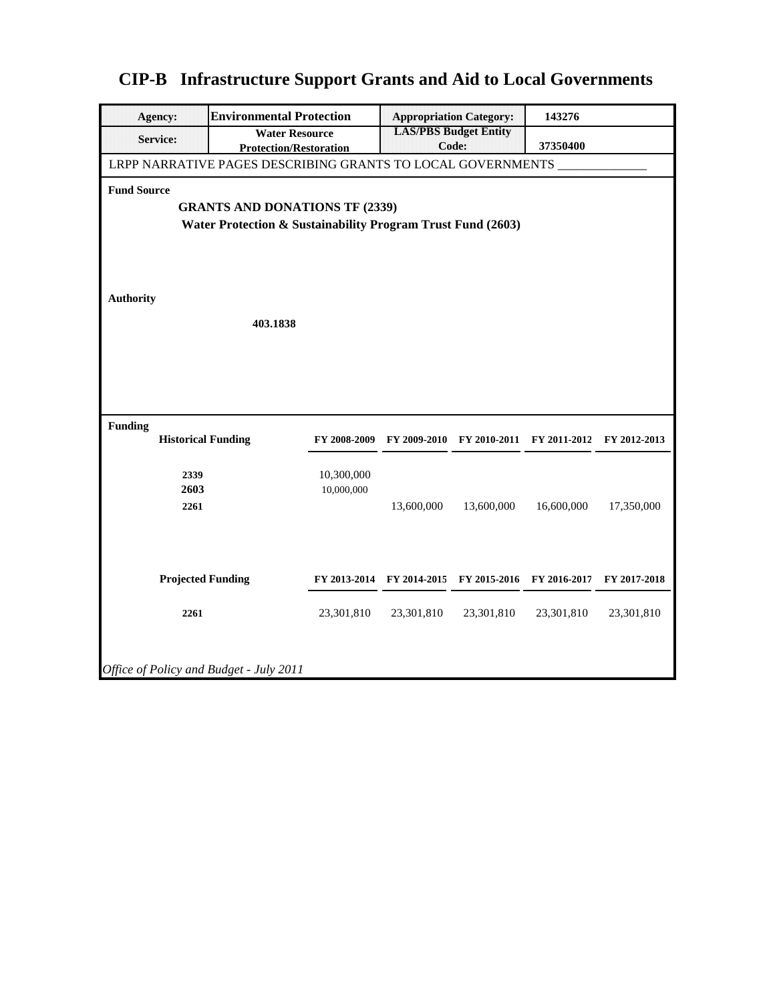| Agency:                                                                                                                                                                                                                   | <b>Environmental Protection</b>                        |                          |                              | <b>Appropriation Category:</b> | 143276       |              |  |
|---------------------------------------------------------------------------------------------------------------------------------------------------------------------------------------------------------------------------|--------------------------------------------------------|--------------------------|------------------------------|--------------------------------|--------------|--------------|--|
| <b>Service:</b>                                                                                                                                                                                                           | <b>Water Resource</b><br><b>Protection/Restoration</b> |                          | <b>LAS/PBS Budget Entity</b> | Code:                          | 37350400     |              |  |
|                                                                                                                                                                                                                           |                                                        |                          |                              |                                |              |              |  |
| LRPP NARRATIVE PAGES DESCRIBING GRANTS TO LOCAL GOVERNMENTS<br><b>Fund Source</b><br><b>GRANTS AND DONATIONS TF (2339)</b><br>Water Protection & Sustainability Program Trust Fund (2603)<br><b>Authority</b><br>403.1838 |                                                        |                          |                              |                                |              |              |  |
| <b>Funding</b><br><b>Historical Funding</b>                                                                                                                                                                               |                                                        | FY 2008-2009             | FY 2009-2010                 | FY 2010-2011                   | FY 2011-2012 | FY 2012-2013 |  |
| 2339<br>2603<br>2261                                                                                                                                                                                                      |                                                        | 10,300,000<br>10,000,000 | 13,600,000                   | 13,600,000                     | 16,600,000   | 17,350,000   |  |
| <b>Projected Funding</b>                                                                                                                                                                                                  |                                                        |                          | FY 2013-2014 FY 2014-2015    | FY 2015-2016                   | FY 2016-2017 | FY 2017-2018 |  |
| 2261                                                                                                                                                                                                                      |                                                        | 23,301,810               | 23,301,810                   | 23,301,810                     | 23,301,810   | 23,301,810   |  |
| Office of Policy and Budget - July 2011                                                                                                                                                                                   |                                                        |                          |                              |                                |              |              |  |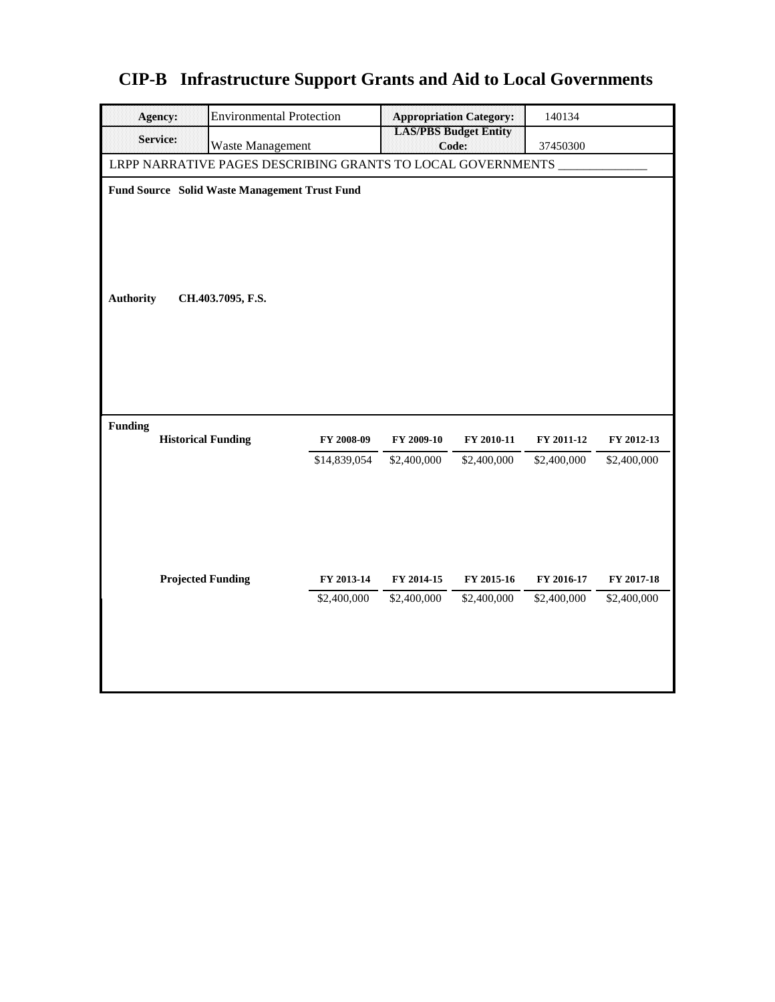|  | <b>CIP-B</b> Infrastructure Support Grants and Aid to Local Governments |  |  |  |
|--|-------------------------------------------------------------------------|--|--|--|
|--|-------------------------------------------------------------------------|--|--|--|

| <b>Environmental Protection</b><br><b>Agency:</b>           |                           |                                       | <b>Appropriation Category:</b> | 140134                    |                           |  |  |  |
|-------------------------------------------------------------|---------------------------|---------------------------------------|--------------------------------|---------------------------|---------------------------|--|--|--|
| Service:<br>Waste Management                                |                           | <b>LAS/PBS Budget Entity</b><br>Code: |                                | 37450300                  |                           |  |  |  |
| LRPP NARRATIVE PAGES DESCRIBING GRANTS TO LOCAL GOVERNMENTS |                           |                                       |                                |                           |                           |  |  |  |
| Fund Source Solid Waste Management Trust Fund               |                           |                                       |                                |                           |                           |  |  |  |
| <b>Authority</b><br>CH.403.7095, F.S.                       |                           |                                       |                                |                           |                           |  |  |  |
| <b>Funding</b><br><b>Historical Funding</b>                 | FY 2008-09                | FY 2009-10                            | FY 2010-11                     | FY 2011-12                | FY 2012-13                |  |  |  |
|                                                             | \$14,839,054              | \$2,400,000                           | \$2,400,000                    | \$2,400,000               | \$2,400,000               |  |  |  |
| <b>Projected Funding</b>                                    | FY 2013-14<br>\$2,400,000 | FY 2014-15<br>\$2,400,000             | FY 2015-16<br>\$2,400,000      | FY 2016-17<br>\$2,400,000 | FY 2017-18<br>\$2,400,000 |  |  |  |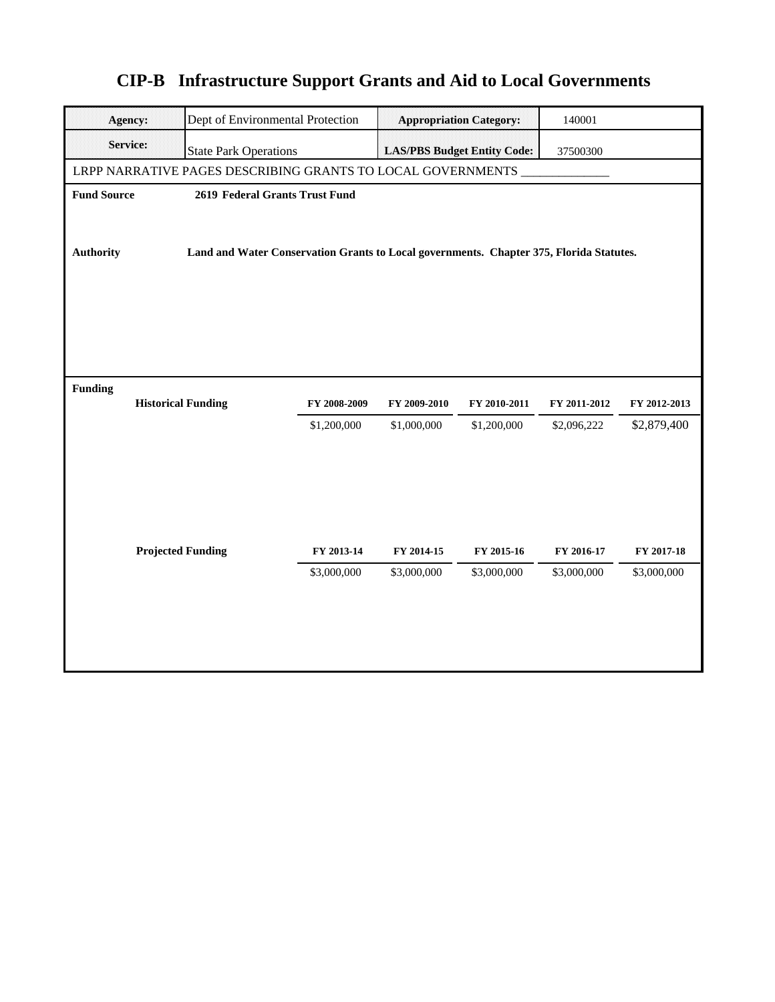| <b>Agency:</b>     | Dept of Environmental Protection                                                        |              |                                    | <b>Appropriation Category:</b> | 140001       |              |  |  |
|--------------------|-----------------------------------------------------------------------------------------|--------------|------------------------------------|--------------------------------|--------------|--------------|--|--|
| <b>Service:</b>    | <b>State Park Operations</b>                                                            |              | <b>LAS/PBS Budget Entity Code:</b> |                                | 37500300     |              |  |  |
|                    | LRPP NARRATIVE PAGES DESCRIBING GRANTS TO LOCAL GOVERNMENTS                             |              |                                    |                                |              |              |  |  |
| <b>Fund Source</b> | 2619 Federal Grants Trust Fund                                                          |              |                                    |                                |              |              |  |  |
|                    |                                                                                         |              |                                    |                                |              |              |  |  |
| <b>Authority</b>   | Land and Water Conservation Grants to Local governments. Chapter 375, Florida Statutes. |              |                                    |                                |              |              |  |  |
|                    |                                                                                         |              |                                    |                                |              |              |  |  |
|                    |                                                                                         |              |                                    |                                |              |              |  |  |
|                    |                                                                                         |              |                                    |                                |              |              |  |  |
|                    |                                                                                         |              |                                    |                                |              |              |  |  |
|                    |                                                                                         |              |                                    |                                |              |              |  |  |
| <b>Funding</b>     |                                                                                         |              |                                    |                                |              |              |  |  |
|                    | <b>Historical Funding</b>                                                               | FY 2008-2009 | FY 2009-2010                       | FY 2010-2011                   | FY 2011-2012 | FY 2012-2013 |  |  |
|                    |                                                                                         | \$1,200,000  | \$1,000,000                        | \$1,200,000                    | \$2,096,222  | \$2,879,400  |  |  |
|                    |                                                                                         |              |                                    |                                |              |              |  |  |
|                    |                                                                                         |              |                                    |                                |              |              |  |  |
|                    |                                                                                         |              |                                    |                                |              |              |  |  |
|                    |                                                                                         |              |                                    |                                |              |              |  |  |
|                    | <b>Projected Funding</b>                                                                | FY 2013-14   | FY 2014-15                         | FY 2015-16                     | FY 2016-17   | FY 2017-18   |  |  |
|                    |                                                                                         | \$3,000,000  | \$3,000,000                        | \$3,000,000                    | \$3,000,000  | \$3,000,000  |  |  |
|                    |                                                                                         |              |                                    |                                |              |              |  |  |
|                    |                                                                                         |              |                                    |                                |              |              |  |  |
|                    |                                                                                         |              |                                    |                                |              |              |  |  |
|                    |                                                                                         |              |                                    |                                |              |              |  |  |